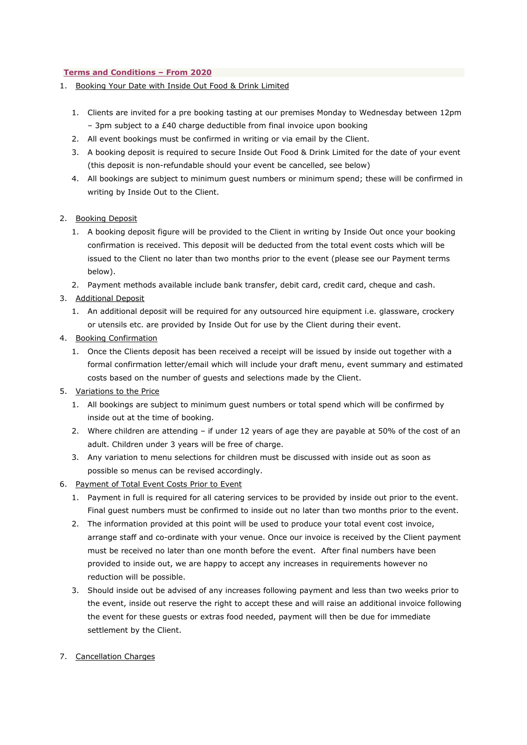#### **Terms and Conditions – From 2020**

- 1. Booking Your Date with Inside Out Food & Drink Limited
	- 1. Clients are invited for a pre booking tasting at our premises Monday to Wednesday between 12pm – 3pm subject to a £40 charge deductible from final invoice upon booking
	- 2. All event bookings must be confirmed in writing or via email by the Client.
	- 3. A booking deposit is required to secure Inside Out Food & Drink Limited for the date of your event (this deposit is non-refundable should your event be cancelled, see below)
	- 4. All bookings are subject to minimum guest numbers or minimum spend; these will be confirmed in writing by Inside Out to the Client.

#### 2. Booking Deposit

- 1. A booking deposit figure will be provided to the Client in writing by Inside Out once your booking confirmation is received. This deposit will be deducted from the total event costs which will be issued to the Client no later than two months prior to the event (please see our Payment terms below).
- 2. Payment methods available include bank transfer, debit card, credit card, cheque and cash.
- 3. Additional Deposit
	- 1. An additional deposit will be required for any outsourced hire equipment i.e. glassware, crockery or utensils etc. are provided by Inside Out for use by the Client during their event.
- 4. Booking Confirmation
	- 1. Once the Clients deposit has been received a receipt will be issued by inside out together with a formal confirmation letter/email which will include your draft menu, event summary and estimated costs based on the number of guests and selections made by the Client.
- 5. Variations to the Price
	- 1. All bookings are subject to minimum guest numbers or total spend which will be confirmed by inside out at the time of booking.
	- 2. Where children are attending if under 12 years of age they are payable at 50% of the cost of an adult. Children under 3 years will be free of charge.
	- 3. Any variation to menu selections for children must be discussed with inside out as soon as possible so menus can be revised accordingly.
- 6. Payment of Total Event Costs Prior to Event
	- 1. Payment in full is required for all catering services to be provided by inside out prior to the event. Final guest numbers must be confirmed to inside out no later than two months prior to the event.
	- 2. The information provided at this point will be used to produce your total event cost invoice, arrange staff and co-ordinate with your venue. Once our invoice is received by the Client payment must be received no later than one month before the event. After final numbers have been provided to inside out, we are happy to accept any increases in requirements however no reduction will be possible.
	- 3. Should inside out be advised of any increases following payment and less than two weeks prior to the event, inside out reserve the right to accept these and will raise an additional invoice following the event for these guests or extras food needed, payment will then be due for immediate settlement by the Client.

#### 7. Cancellation Charges